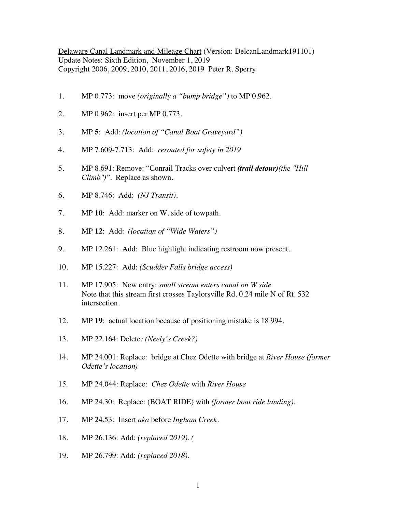Delaware Canal Landmark and Mileage Chart (Version: DelcanLandmark191101) Update Notes: Sixth Edition, November 1, 2019 Copyright 2006, 2009, 2010, 2011, 2016, 2019 Peter R. Sperry

- 1. MP 0.773: move *(originally a "bump bridge")* to MP 0.962.
- 2. MP 0.962: insert per MP 0.773.
- 3. MP **5**: Add: *(location of "Canal Boat Graveyard")*
- 4. MP 7.609-7.713: Add: *rerouted for safety in 2019*
- 5. MP 8.691: Remove: "Conrail Tracks over culvert *(trail detour)(the "Hill Climb")*". Replace as shown.
- 6. MP 8.746: Add: *(NJ Transit).*
- 7. MP **10**: Add: marker on W. side of towpath.
- 8. MP **12**: Add: *(location of "Wide Waters")*
- 9. MP 12.261: Add: Blue highlight indicating restroom now present.
- 10. MP 15.227: Add: *(Scudder Falls bridge access)*
- 11. MP 17.905: New entry: *small stream enters canal on W side* Note that this stream first crosses Taylorsville Rd. 0.24 mile N of Rt. 532 intersection.
- 12. MP **19**: actual location because of positioning mistake is 18.994.
- 13. MP 22.164: Delete*: (Neely's Creek?).*
- 14. MP 24.001: Replace: bridge at Chez Odette with bridge at *River House (former Odette's location)*
- 15. MP 24.044: Replace: *Chez Odette* with *River House*
- 16. MP 24.30: Replace: (BOAT RIDE) with *(former boat ride landing).*
- 17. MP 24.53: Insert *aka* before *Ingham Creek.*
- 18. MP 26.136: Add: *(replaced 2019). (*
- 19. MP 26.799: Add: *(replaced 2018).*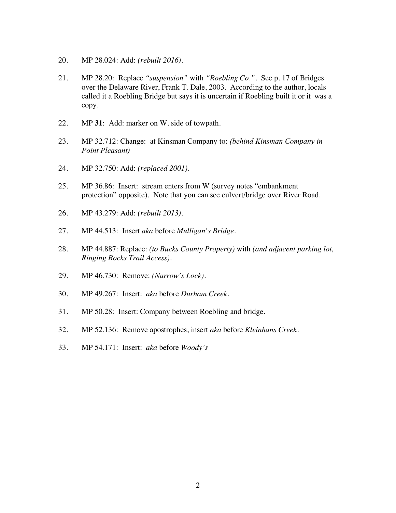- 20. MP 28.024: Add: *(rebuilt 2016).*
- 21. MP 28.20: Replace *"suspension"* with *"Roebling Co."*. See p. 17 of Bridges over the Delaware River, Frank T. Dale, 2003. According to the author, locals called it a Roebling Bridge but says it is uncertain if Roebling built it or it was a copy.
- 22. MP **31**: Add: marker on W. side of towpath.
- 23. MP 32.712: Change: at Kinsman Company to: *(behind Kinsman Company in Point Pleasant)*
- 24. MP 32.750: Add: *(replaced 2001).*
- 25. MP 36.86: Insert: stream enters from W (survey notes "embankment protection" opposite). Note that you can see culvert/bridge over River Road.
- 26. MP 43.279: Add: *(rebuilt 2013).*
- 27. MP 44.513: Insert *aka* before *Mulligan's Bridge.*
- 28. MP 44.887: Replace: *(to Bucks County Property)* with *(and adjacent parking lot, Ringing Rocks Trail Access).*
- 29. MP 46.730: Remove: *(Narrow's Lock).*
- 30. MP 49.267: Insert: *aka* before *Durham Creek.*
- 31. MP 50.28: Insert: Company between Roebling and bridge.
- 32. MP 52.136: Remove apostrophes, insert *aka* before *Kleinhans Creek*.
- 33. MP 54.171: Insert: *aka* before *Woody's*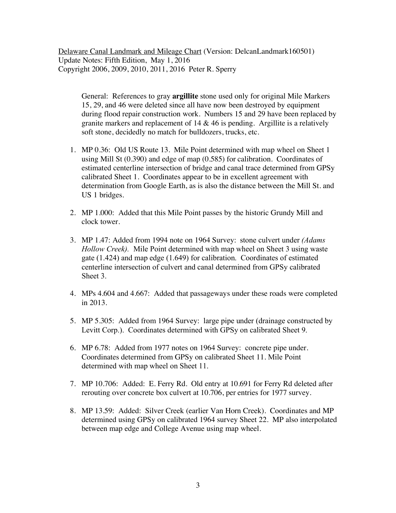Delaware Canal Landmark and Mileage Chart (Version: DelcanLandmark160501) Update Notes: Fifth Edition, May 1, 2016 Copyright 2006, 2009, 2010, 2011, 2016 Peter R. Sperry

General: References to gray **argillite** stone used only for original Mile Markers 15, 29, and 46 were deleted since all have now been destroyed by equipment during flood repair construction work. Numbers 15 and 29 have been replaced by granite markers and replacement of 14 & 46 is pending. Argillite is a relatively soft stone, decidedly no match for bulldozers, trucks, etc.

- 1. MP 0.36: Old US Route 13. Mile Point determined with map wheel on Sheet 1 using Mill St (0.390) and edge of map (0.585) for calibration. Coordinates of estimated centerline intersection of bridge and canal trace determined from GPSy calibrated Sheet 1. Coordinates appear to be in excellent agreement with determination from Google Earth, as is also the distance between the Mill St. and US 1 bridges.
- 2. MP 1.000: Added that this Mile Point passes by the historic Grundy Mill and clock tower.
- 3. MP 1.47: Added from 1994 note on 1964 Survey: stone culvert under *(Adams Hollow Creek).* Mile Point determined with map wheel on Sheet 3 using waste gate (1.424) and map edge (1.649) for calibration. Coordinates of estimated centerline intersection of culvert and canal determined from GPSy calibrated Sheet 3.
- 4. MPs 4.604 and 4.667: Added that passageways under these roads were completed in 2013.
- 5. MP 5.305: Added from 1964 Survey: large pipe under (drainage constructed by Levitt Corp.). Coordinates determined with GPSy on calibrated Sheet 9.
- 6. MP 6.78: Added from 1977 notes on 1964 Survey: concrete pipe under. Coordinates determined from GPSy on calibrated Sheet 11. Mile Point determined with map wheel on Sheet 11.
- 7. MP 10.706: Added: E. Ferry Rd. Old entry at 10.691 for Ferry Rd deleted after rerouting over concrete box culvert at 10.706, per entries for 1977 survey.
- 8. MP 13.59: Added: Silver Creek (earlier Van Horn Creek). Coordinates and MP determined using GPSy on calibrated 1964 survey Sheet 22. MP also interpolated between map edge and College Avenue using map wheel.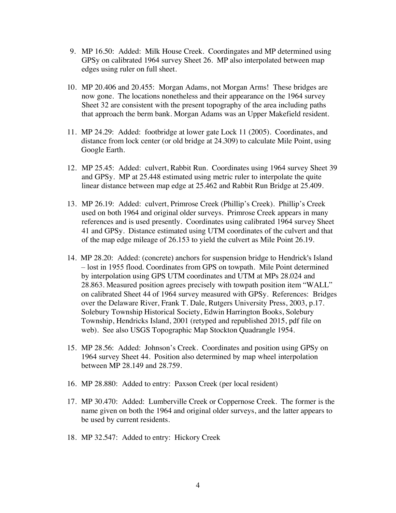- 9. MP 16.50: Added: Milk House Creek. Coordingates and MP determined using GPSy on calibrated 1964 survey Sheet 26. MP also interpolated between map edges using ruler on full sheet.
- 10. MP 20.406 and 20.455: Morgan Adams, not Morgan Arms! These bridges are now gone. The locations nonetheless and their appearance on the 1964 survey Sheet 32 are consistent with the present topography of the area including paths that approach the berm bank. Morgan Adams was an Upper Makefield resident.
- 11. MP 24.29: Added: footbridge at lower gate Lock 11 (2005). Coordinates, and distance from lock center (or old bridge at 24.309) to calculate Mile Point, using Google Earth.
- 12. MP 25.45: Added: culvert, Rabbit Run. Coordinates using 1964 survey Sheet 39 and GPSy. MP at 25.448 estimated using metric ruler to interpolate the quite linear distance between map edge at 25.462 and Rabbit Run Bridge at 25.409.
- 13. MP 26.19: Added: culvert, Primrose Creek (Phillip's Creek). Phillip's Creek used on both 1964 and original older surveys. Primrose Creek appears in many references and is used presently. Coordinates using calibrated 1964 survey Sheet 41 and GPSy. Distance estimated using UTM coordinates of the culvert and that of the map edge mileage of 26.153 to yield the culvert as Mile Point 26.19.
- 14. MP 28.20: Added: (concrete) anchors for suspension bridge to Hendrick's Island – lost in 1955 flood. Coordinates from GPS on towpath. Mile Point determined by interpolation using GPS UTM coordinates and UTM at MPs 28.024 and 28.863. Measured position agrees precisely with towpath position item "WALL" on calibrated Sheet 44 of 1964 survey measured with GPSy. References: Bridges over the Delaware River, Frank T. Dale, Rutgers University Press, 2003, p.17. Solebury Township Historical Society, Edwin Harrington Books, Solebury Township, Hendricks Island, 2001 (retyped and republished 2015, pdf file on web). See also USGS Topographic Map Stockton Quadrangle 1954.
- 15. MP 28.56: Added: Johnson's Creek. Coordinates and position using GPSy on 1964 survey Sheet 44. Position also determined by map wheel interpolation between MP 28.149 and 28.759.
- 16. MP 28.880: Added to entry: Paxson Creek (per local resident)
- 17. MP 30.470: Added: Lumberville Creek or Coppernose Creek. The former is the name given on both the 1964 and original older surveys, and the latter appears to be used by current residents.
- 18. MP 32.547: Added to entry: Hickory Creek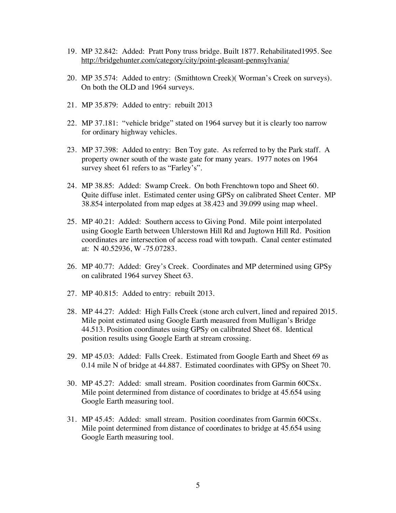- 19. MP 32.842: Added: Pratt Pony truss bridge. Built 1877. Rehabilitated1995. See http://bridgehunter.com/category/city/point-pleasant-pennsylvania/
- 20. MP 35.574: Added to entry: (Smithtown Creek)( Worman's Creek on surveys). On both the OLD and 1964 surveys.
- 21. MP 35.879: Added to entry: rebuilt 2013
- 22. MP 37.181: "vehicle bridge" stated on 1964 survey but it is clearly too narrow for ordinary highway vehicles.
- 23. MP 37.398: Added to entry: Ben Toy gate. As referred to by the Park staff. A property owner south of the waste gate for many years. 1977 notes on 1964 survey sheet 61 refers to as "Farley's".
- 24. MP 38.85: Added: Swamp Creek. On both Frenchtown topo and Sheet 60. Quite diffuse inlet. Estimated center using GPSy on calibrated Sheet Center. MP 38.854 interpolated from map edges at 38.423 and 39.099 using map wheel.
- 25. MP 40.21: Added: Southern access to Giving Pond. Mile point interpolated using Google Earth between Uhlerstown Hill Rd and Jugtown Hill Rd. Position coordinates are intersection of access road with towpath. Canal center estimated at: N 40.52936, W -75.07283.
- 26. MP 40.77: Added: Grey's Creek. Coordinates and MP determined using GPSy on calibrated 1964 survey Sheet 63.
- 27. MP 40.815: Added to entry: rebuilt 2013.
- 28. MP 44.27: Added: High Falls Creek (stone arch culvert, lined and repaired 2015. Mile point estimated using Google Earth measured from Mulligan's Bridge 44.513. Position coordinates using GPSy on calibrated Sheet 68. Identical position results using Google Earth at stream crossing.
- 29. MP 45.03: Added: Falls Creek. Estimated from Google Earth and Sheet 69 as 0.14 mile N of bridge at 44.887. Estimated coordinates with GPSy on Sheet 70.
- 30. MP 45.27: Added: small stream. Position coordinates from Garmin 60CSx. Mile point determined from distance of coordinates to bridge at 45.654 using Google Earth measuring tool.
- 31. MP 45.45: Added: small stream. Position coordinates from Garmin 60CSx. Mile point determined from distance of coordinates to bridge at 45.654 using Google Earth measuring tool.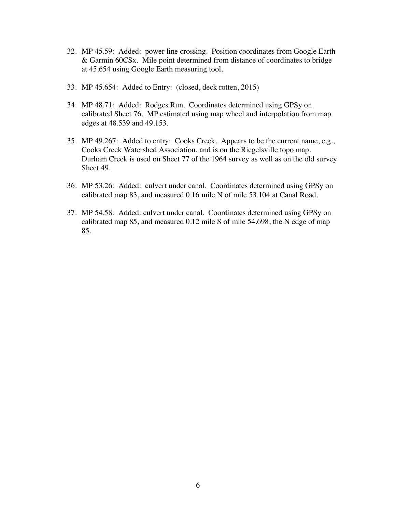- 32. MP 45.59: Added: power line crossing. Position coordinates from Google Earth & Garmin 60CSx. Mile point determined from distance of coordinates to bridge at 45.654 using Google Earth measuring tool.
- 33. MP 45.654: Added to Entry: (closed, deck rotten, 2015)
- 34. MP 48.71: Added: Rodges Run. Coordinates determined using GPSy on calibrated Sheet 76. MP estimated using map wheel and interpolation from map edges at 48.539 and 49.153.
- 35. MP 49.267: Added to entry: Cooks Creek. Appears to be the current name, e.g., Cooks Creek Watershed Association, and is on the Riegelsville topo map. Durham Creek is used on Sheet 77 of the 1964 survey as well as on the old survey Sheet 49.
- 36. MP 53.26: Added: culvert under canal. Coordinates determined using GPSy on calibrated map 83, and measured 0.16 mile N of mile 53.104 at Canal Road.
- 37. MP 54.58: Added: culvert under canal. Coordinates determined using GPSy on calibrated map 85, and measured 0.12 mile S of mile 54.698, the N edge of map 85.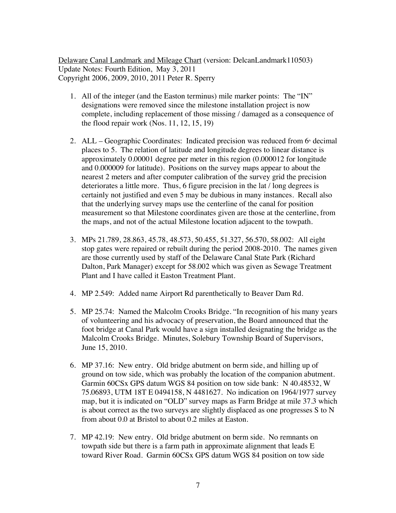Delaware Canal Landmark and Mileage Chart (version: DelcanLandmark110503) Update Notes: Fourth Edition, May 3, 2011 Copyright 2006, 2009, 2010, 2011 Peter R. Sperry

- 1. All of the integer (and the Easton terminus) mile marker points: The "IN" designations were removed since the milestone installation project is now complete, including replacement of those missing / damaged as a consequence of the flood repair work (Nos. 11, 12, 15, 19)
- 2. ALL Geographic Coordinates: Indicated precision was reduced from  $6<sup>*</sup>$  decimal places to 5. The relation of latitude and longitude degrees to linear distance is approximately 0.00001 degree per meter in this region (0.000012 for longitude and 0.000009 for latitude). Positions on the survey maps appear to about the nearest 2 meters and after computer calibration of the survey grid the precision deteriorates a little more. Thus, 6 figure precision in the lat / long degrees is certainly not justified and even 5 may be dubious in many instances. Recall also that the underlying survey maps use the centerline of the canal for position measurement so that Milestone coordinates given are those at the centerline, from the maps, and not of the actual Milestone location adjacent to the towpath.
- 3. MPs 21.789, 28.863, 45.78, 48.573, 50.455, 51.327, 56.570, 58.002: All eight stop gates were repaired or rebuilt during the period 2008-2010. The names given are those currently used by staff of the Delaware Canal State Park (Richard Dalton, Park Manager) except for 58.002 which was given as Sewage Treatment Plant and I have called it Easton Treatment Plant.
- 4. MP 2.549: Added name Airport Rd parenthetically to Beaver Dam Rd.
- 5. MP 25.74: Named the Malcolm Crooks Bridge. "In recognition of his many years of volunteering and his advocacy of preservation, the Board announced that the foot bridge at Canal Park would have a sign installed designating the bridge as the Malcolm Crooks Bridge. Minutes, Solebury Township Board of Supervisors, June 15, 2010.
- 6. MP 37.16: New entry. Old bridge abutment on berm side, and hilling up of ground on tow side, which was probably the location of the companion abutment. Garmin 60CSx GPS datum WGS 84 position on tow side bank: N 40.48532, W 75.06893, UTM 18T E 0494158, N 4481627. No indication on 1964/1977 survey map, but it is indicated on "OLD" survey maps as Farm Bridge at mile 37.3 which is about correct as the two surveys are slightly displaced as one progresses S to N from about 0.0 at Bristol to about 0.2 miles at Easton.
- 7. MP 42.19: New entry. Old bridge abutment on berm side. No remnants on towpath side but there is a farm path in approximate alignment that leads E toward River Road. Garmin 60CSx GPS datum WGS 84 position on tow side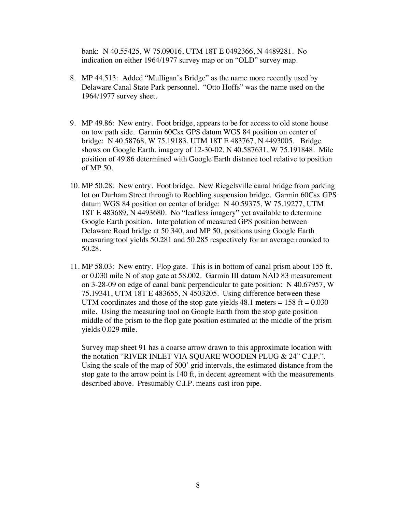bank: N 40.55425, W 75.09016, UTM 18T E 0492366, N 4489281. No indication on either 1964/1977 survey map or on "OLD" survey map.

- 8. MP 44.513: Added "Mulligan's Bridge" as the name more recently used by Delaware Canal State Park personnel. "Otto Hoffs" was the name used on the 1964/1977 survey sheet.
- 9. MP 49.86: New entry. Foot bridge, appears to be for access to old stone house on tow path side. Garmin 60Csx GPS datum WGS 84 position on center of bridge: N 40.58768, W 75.19183, UTM 18T E 483767, N 4493005. Bridge shows on Google Earth, imagery of 12-30-02, N 40.587631, W 75.191848. Mile position of 49.86 determined with Google Earth distance tool relative to position of MP 50.
- 10. MP 50.28: New entry. Foot bridge. New Riegelsville canal bridge from parking lot on Durham Street through to Roebling suspension bridge. Garmin 60Csx GPS datum WGS 84 position on center of bridge: N 40.59375, W 75.19277, UTM 18T E 483689, N 4493680. No "leafless imagery" yet available to determine Google Earth position. Interpolation of measured GPS position between Delaware Road bridge at 50.340, and MP 50, positions using Google Earth measuring tool yields 50.281 and 50.285 respectively for an average rounded to 50.28.
- 11. MP 58.03: New entry. Flop gate. This is in bottom of canal prism about 155 ft. or 0.030 mile N of stop gate at 58.002. Garmin III datum NAD 83 measurement on 3-28-09 on edge of canal bank perpendicular to gate position: N 40.67957, W 75.19341, UTM 18T E 483655, N 4503205. Using difference between these UTM coordinates and those of the stop gate yields  $48.1$  meters =  $158$  ft =  $0.030$ mile. Using the measuring tool on Google Earth from the stop gate position middle of the prism to the flop gate position estimated at the middle of the prism yields 0.029 mile.

Survey map sheet 91 has a coarse arrow drawn to this approximate location with the notation "RIVER INLET VIA SQUARE WOODEN PLUG & 24" C.I.P.". Using the scale of the map of 500' grid intervals, the estimated distance from the stop gate to the arrow point is 140 ft, in decent agreement with the measurements described above. Presumably C.I.P. means cast iron pipe.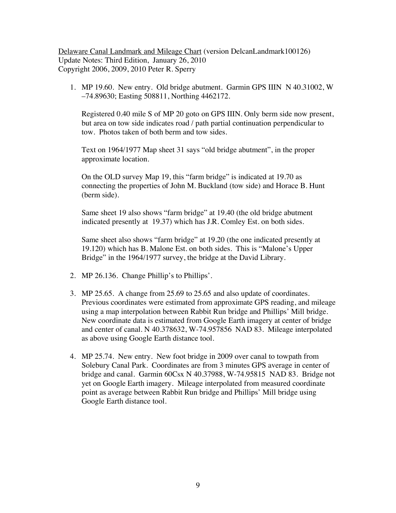Delaware Canal Landmark and Mileage Chart (version DelcanLandmark100126) Update Notes: Third Edition, January 26, 2010 Copyright 2006, 2009, 2010 Peter R. Sperry

1. MP 19.60. New entry. Old bridge abutment. Garmin GPS IIIN N 40.31002, W –74.89630; Easting 508811, Northing 4462172.

Registered 0.40 mile S of MP 20 goto on GPS IIIN. Only berm side now present, but area on tow side indicates road / path partial continuation perpendicular to tow. Photos taken of both berm and tow sides.

Text on 1964/1977 Map sheet 31 says "old bridge abutment", in the proper approximate location.

On the OLD survey Map 19, this "farm bridge" is indicated at 19.70 as connecting the properties of John M. Buckland (tow side) and Horace B. Hunt (berm side).

Same sheet 19 also shows "farm bridge" at 19.40 (the old bridge abutment indicated presently at 19.37) which has J.R. Comley Est. on both sides.

Same sheet also shows "farm bridge" at 19.20 (the one indicated presently at 19.120) which has B. Malone Est. on both sides. This is "Malone's Upper Bridge" in the 1964/1977 survey, the bridge at the David Library.

- 2. MP 26.136. Change Phillip's to Phillips'.
- 3. MP 25.65. A change from 25.69 to 25.65 and also update of coordinates. Previous coordinates were estimated from approximate GPS reading, and mileage using a map interpolation between Rabbit Run bridge and Phillips' Mill bridge. New coordinate data is estimated from Google Earth imagery at center of bridge and center of canal. N 40.378632, W-74.957856 NAD 83. Mileage interpolated as above using Google Earth distance tool.
- 4. MP 25.74. New entry. New foot bridge in 2009 over canal to towpath from Solebury Canal Park. Coordinates are from 3 minutes GPS average in center of bridge and canal. Garmin 60Csx N 40.37988, W-74.95815 NAD 83. Bridge not yet on Google Earth imagery. Mileage interpolated from measured coordinate point as average between Rabbit Run bridge and Phillips' Mill bridge using Google Earth distance tool.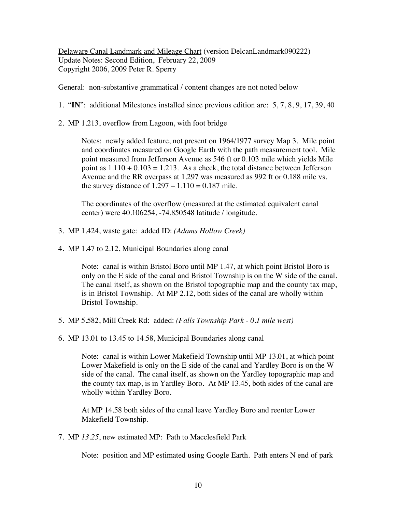Delaware Canal Landmark and Mileage Chart (version DelcanLandmark090222) Update Notes: Second Edition, February 22, 2009 Copyright 2006, 2009 Peter R. Sperry

General: non-substantive grammatical / content changes are not noted below

1. "**IN**": additional Milestones installed since previous edition are: 5, 7, 8, 9, 17, 39, 40

2. MP 1.213, overflow from Lagoon, with foot bridge

Notes: newly added feature, not present on 1964/1977 survey Map 3. Mile point and coordinates measured on Google Earth with the path measurement tool. Mile point measured from Jefferson Avenue as 546 ft or 0.103 mile which yields Mile point as  $1.110 + 0.103 = 1.213$ . As a check, the total distance between Jefferson Avenue and the RR overpass at 1.297 was measured as 992 ft or 0.188 mile vs. the survey distance of  $1.297 - 1.110 = 0.187$  mile.

The coordinates of the overflow (measured at the estimated equivalent canal center) were 40.106254, -74.850548 latitude / longitude.

- 3. MP 1.424, waste gate: added ID: *(Adams Hollow Creek)*
- 4. MP 1.47 to 2.12, Municipal Boundaries along canal

Note: canal is within Bristol Boro until MP 1.47, at which point Bristol Boro is only on the E side of the canal and Bristol Township is on the W side of the canal. The canal itself, as shown on the Bristol topographic map and the county tax map, is in Bristol Township. At MP 2.12, both sides of the canal are wholly within Bristol Township.

- 5. MP 5.582, Mill Creek Rd: added: *(Falls Township Park - 0.1 mile west)*
- 6. MP 13.01 to 13.45 to 14.58, Municipal Boundaries along canal

Note: canal is within Lower Makefield Township until MP 13.01, at which point Lower Makefield is only on the E side of the canal and Yardley Boro is on the W side of the canal. The canal itself, as shown on the Yardley topographic map and the county tax map, is in Yardley Boro. At MP 13.45, both sides of the canal are wholly within Yardley Boro.

At MP 14.58 both sides of the canal leave Yardley Boro and reenter Lower Makefield Township.

7. MP *13.25*, new estimated MP: Path to Macclesfield Park

Note: position and MP estimated using Google Earth. Path enters N end of park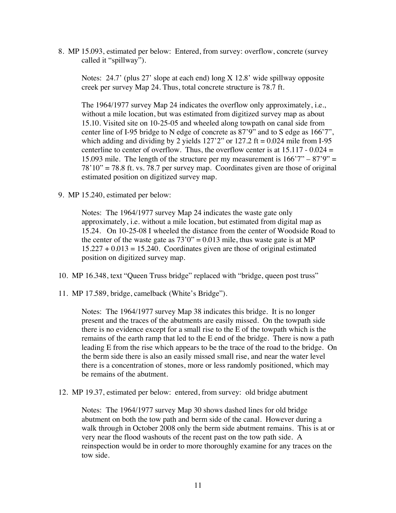8. MP 15.093, estimated per below: Entered, from survey: overflow, concrete (survey called it "spillway").

Notes: 24.7' (plus 27' slope at each end) long X 12.8' wide spillway opposite creek per survey Map 24. Thus, total concrete structure is 78.7 ft.

The 1964/1977 survey Map 24 indicates the overflow only approximately, i.e., without a mile location, but was estimated from digitized survey map as about 15.10. Visited site on 10-25-05 and wheeled along towpath on canal side from center line of I-95 bridge to N edge of concrete as 87'9" and to S edge as 166'7", which adding and dividing by 2 yields  $127'2''$  or  $127.2$  ft = 0.024 mile from I-95 centerline to center of overflow. Thus, the overflow center is at  $15.117 - 0.024 =$ 15.093 mile. The length of the structure per my measurement is  $166'7'' - 87'9'' =$  $78'10" = 78.8$  ft. vs. 78.7 per survey map. Coordinates given are those of original estimated position on digitized survey map.

9. MP 15.240, estimated per below:

Notes: The 1964/1977 survey Map 24 indicates the waste gate only approximately, i.e. without a mile location, but estimated from digital map as 15.24. On 10-25-08 I wheeled the distance from the center of Woodside Road to the center of the waste gate as  $73'0'' = 0.013$  mile, thus waste gate is at MP  $15.227 + 0.013 = 15.240$ . Coordinates given are those of original estimated position on digitized survey map.

10. MP 16.348, text "Queen Truss bridge" replaced with "bridge, queen post truss"

11. MP 17.589, bridge, camelback (White's Bridge").

Notes: The 1964/1977 survey Map 38 indicates this bridge. It is no longer present and the traces of the abutments are easily missed. On the towpath side there is no evidence except for a small rise to the E of the towpath which is the remains of the earth ramp that led to the E end of the bridge. There is now a path leading E from the rise which appears to be the trace of the road to the bridge. On the berm side there is also an easily missed small rise, and near the water level there is a concentration of stones, more or less randomly positioned, which may be remains of the abutment.

12. MP 19.37, estimated per below: entered, from survey: old bridge abutment

Notes: The 1964/1977 survey Map 30 shows dashed lines for old bridge abutment on both the tow path and berm side of the canal. However during a walk through in October 2008 only the berm side abutment remains. This is at or very near the flood washouts of the recent past on the tow path side. A reinspection would be in order to more thoroughly examine for any traces on the tow side.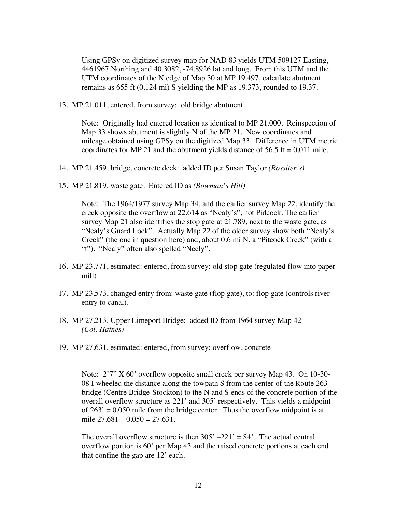Using GPSy on digitized survey map for NAD 83 yields UTM 509127 Easting, 4461967 Northing and 40.3082, -74.8926 lat and long. From this UTM and the UTM coordinates of the N edge of Map 30 at MP 19.497, calculate abutment remains as 655 ft (0.124 mi) S yielding the MP as 19.373, rounded to 19.37.

13. MP 21.011, entered, from survey: old bridge abutment

Note: Originally had entered location as identical to MP 21.000. Reinspection of Map 33 shows abutment is slightly N of the MP 21. New coordinates and mileage obtained using GPSy on the digitized Map 33. Difference in UTM metric coordinates for MP 21 and the abutment yields distance of  $56.5$  ft = 0.011 mile.

14. MP 21.459, bridge, concrete deck: added ID per Susan Taylor *(Rossiter's)*

15. MP 21.819, waste gate. Entered ID as *(Bowman's Hill)*

Note: The 1964/1977 survey Map 34, and the earlier survey Map 22, identify the creek opposite the overflow at 22.614 as "Nealy's", not Pidcock. The earlier survey Map 21 also identifies the stop gate at 21.789, next to the waste gate, as "Nealy's Guard Lock". Actually Map 22 of the older survey show both "Nealy's Creek" (the one in question here) and, about 0.6 mi N, a "Pitcock Creek" (with a "t"). "Nealy" often also spelled "Neely".

- 16. MP 23.771, estimated: entered, from survey: old stop gate (regulated flow into paper mill)
- 17. MP 23.573, changed entry from: waste gate (flop gate), to: flop gate (controls river entry to canal).
- 18. MP 27.213, Upper Limeport Bridge: added ID from 1964 survey Map 42 *(Col. Haines)*
- 19. MP 27.631, estimated: entered, from survey: overflow, concrete

Note: 2'7" X 60' overflow opposite small creek per survey Map 43. On 10-30- 08 I wheeled the distance along the towpath S from the center of the Route 263 bridge (Centre Bridge-Stockton) to the N and S ends of the concrete portion of the overall overflow structure as 221' and 305' respectively. This yields a midpoint of  $263' = 0.050$  mile from the bridge center. Thus the overflow midpoint is at mile  $27.681 - 0.050 = 27.631$ .

The overall overflow structure is then  $305' -221' = 84'$ . The actual central overflow portion is 60' per Map 43 and the raised concrete portions at each end that confine the gap are 12' each.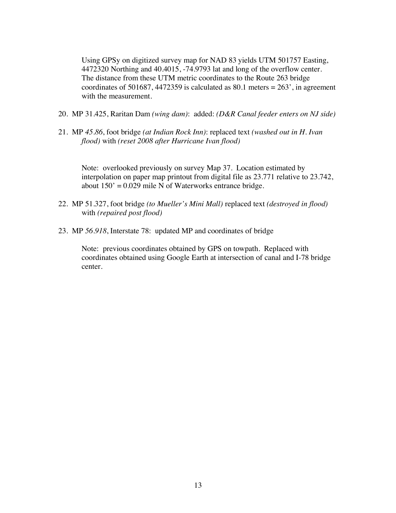Using GPSy on digitized survey map for NAD 83 yields UTM 501757 Easting, 4472320 Northing and 40.4015, -74.9793 lat and long of the overflow center. The distance from these UTM metric coordinates to the Route 263 bridge coordinates of 501687, 4472359 is calculated as 80.1 meters =  $263'$ , in agreement with the measurement.

- 20. MP 31.425, Raritan Dam *(wing dam)*: added: *(D&R Canal feeder enters on NJ side)*
- 21. MP *45.86*, foot bridge *(at Indian Rock Inn)*: replaced text *(washed out in H. Ivan flood)* with *(reset 2008 after Hurricane Ivan flood)*

Note: overlooked previously on survey Map 37. Location estimated by interpolation on paper map printout from digital file as 23.771 relative to 23.742, about  $150' = 0.029$  mile N of Waterworks entrance bridge.

- 22. MP 51.327, foot bridge *(to Mueller's Mini Mall)* replaced text *(destroyed in flood)* with *(repaired post flood)*
- 23. MP *56.918*, Interstate 78: updated MP and coordinates of bridge

Note: previous coordinates obtained by GPS on towpath. Replaced with coordinates obtained using Google Earth at intersection of canal and I-78 bridge center.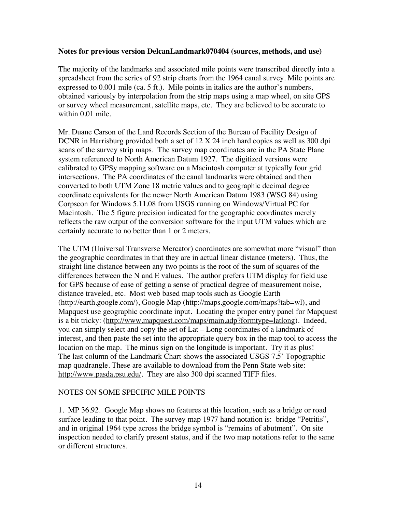## **Notes for previous version DelcanLandmark070404 (sources, methods, and use)**

The majority of the landmarks and associated mile points were transcribed directly into a spreadsheet from the series of 92 strip charts from the 1964 canal survey. Mile points are expressed to 0.001 mile (ca. 5 ft.). Mile points in italics are the author's numbers, obtained variously by interpolation from the strip maps using a map wheel, on site GPS or survey wheel measurement, satellite maps, etc. They are believed to be accurate to within 0.01 mile.

Mr. Duane Carson of the Land Records Section of the Bureau of Facility Design of DCNR in Harrisburg provided both a set of 12 X 24 inch hard copies as well as 300 dpi scans of the survey strip maps. The survey map coordinates are in the PA State Plane system referenced to North American Datum 1927. The digitized versions were calibrated to GPSy mapping software on a Macintosh computer at typically four grid intersections. The PA coordinates of the canal landmarks were obtained and then converted to both UTM Zone 18 metric values and to geographic decimal degree coordinate equivalents for the newer North American Datum 1983 (WSG 84) using Corpscon for Windows 5.11.08 from USGS running on Windows/Virtual PC for Macintosh. The 5 figure precision indicated for the geographic coordinates merely reflects the raw output of the conversion software for the input UTM values which are certainly accurate to no better than 1 or 2 meters.

The UTM (Universal Transverse Mercator) coordinates are somewhat more "visual" than the geographic coordinates in that they are in actual linear distance (meters). Thus, the straight line distance between any two points is the root of the sum of squares of the differences between the N and E values. The author prefers UTM display for field use for GPS because of ease of getting a sense of practical degree of measurement noise, distance traveled, etc. Most web based map tools such as Google Earth (http://earth.google.com/), Google Map (http://maps.google.com/maps?tab=wl), and Mapquest use geographic coordinate input. Locating the proper entry panel for Mapquest is a bit tricky: (http://www.mapquest.com/maps/main.adp?formtype=latlong). Indeed, you can simply select and copy the set of Lat – Long coordinates of a landmark of interest, and then paste the set into the appropriate query box in the map tool to access the location on the map. The minus sign on the longitude is important. Try it as plus! The last column of the Landmark Chart shows the associated USGS 7.5' Topographic map quadrangle. These are available to download from the Penn State web site: http://www.pasda.psu.edu/. They are also 300 dpi scanned TIFF files.

## NOTES ON SOME SPECIFIC MILE POINTS

1. MP 36.92. Google Map shows no features at this location, such as a bridge or road surface leading to that point. The survey map 1977 hand notation is: bridge "Petritis", and in original 1964 type across the bridge symbol is "remains of abutment". On site inspection needed to clarify present status, and if the two map notations refer to the same or different structures.